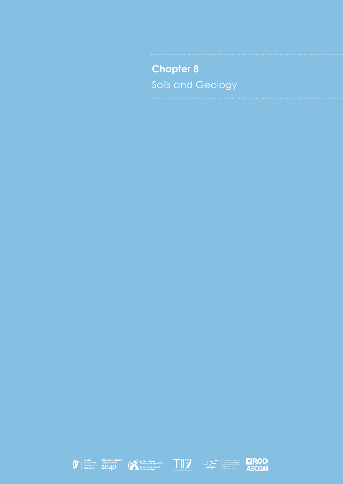**Chapter 8** Soils and Geology









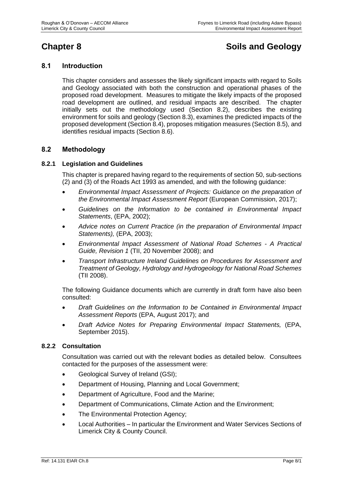# **Chapter 8 Soils and Geology**

# **8.1 Introduction**

This chapter considers and assesses the likely significant impacts with regard to Soils and Geology associated with both the construction and operational phases of the proposed road development. Measures to mitigate the likely impacts of the proposed road development are outlined, and residual impacts are described. The chapter initially sets out the methodology used (Section 8.2), describes the existing environment for soils and geology (Section 8.3), examines the predicted impacts of the proposed development (Section 8.4), proposes mitigation measures (Section 8.5), and identifies residual impacts (Section 8.6).

# **8.2 Methodology**

#### **8.2.1 Legislation and Guidelines**

This chapter is prepared having regard to the requirements of section 50, sub-sections (2) and (3) of the Roads Act 1993 as amended, and with the following guidance:

- *Environmental Impact Assessment of Projects: Guidance on the preparation of the Environmental Impact Assessment Report* (European Commission, 2017);
- *Guidelines on the Information to be contained in Environmental Impact Statements*, (EPA, 2002);
- *Advice notes on Current Practice (in the preparation of Environmental Impact Statements),* (EPA, 2003);
- *Environmental Impact Assessment of National Road Schemes - A Practical Guide, Revision 1* (TII, 20 November 2008); and
- *Transport Infrastructure Ireland Guidelines on Procedures for Assessment and Treatment of Geology, Hydrology and Hydrogeology for National Road Schemes* (TII 2008).

The following Guidance documents which are currently in draft form have also been consulted:

- *Draft Guidelines on the Information to be Contained in Environmental Impact Assessment Reports* (EPA, August 2017); and
- *Draft Advice Notes for Preparing Environmental Impact Statements,* (EPA, September 2015).

#### **8.2.2 Consultation**

Consultation was carried out with the relevant bodies as detailed below. Consultees contacted for the purposes of the assessment were:

- Geological Survey of Ireland (GSI);
- Department of Housing, Planning and Local Government;
- Department of Agriculture, Food and the Marine;
- Department of Communications, Climate Action and the Environment;
- The Environmental Protection Agency;
- Local Authorities In particular the Environment and Water Services Sections of Limerick City & County Council.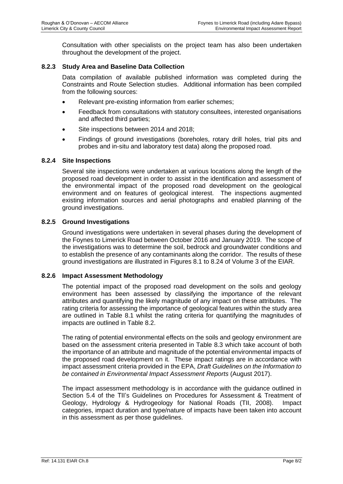Consultation with other specialists on the project team has also been undertaken throughout the development of the project.

## **8.2.3 Study Area and Baseline Data Collection**

Data compilation of available published information was completed during the Constraints and Route Selection studies. Additional information has been compiled from the following sources:

- Relevant pre-existing information from earlier schemes:
- Feedback from consultations with statutory consultees, interested organisations and affected third parties;
- Site inspections between 2014 and 2018;
- Findings of ground investigations (boreholes, rotary drill holes, trial pits and probes and in-situ and laboratory test data) along the proposed road.

#### **8.2.4 Site Inspections**

Several site inspections were undertaken at various locations along the length of the proposed road development in order to assist in the identification and assessment of the environmental impact of the proposed road development on the geological environment and on features of geological interest. The inspections augmented existing information sources and aerial photographs and enabled planning of the ground investigations.

#### **8.2.5 Ground Investigations**

Ground investigations were undertaken in several phases during the development of the Foynes to Limerick Road between October 2016 and January 2019. The scope of the investigations was to determine the soil, bedrock and groundwater conditions and to establish the presence of any contaminants along the corridor. The results of these ground investigations are illustrated in Figures 8.1 to 8.24 of Volume 3 of the EIAR.

#### **8.2.6 Impact Assessment Methodology**

The potential impact of the proposed road development on the soils and geology environment has been assessed by classifying the importance of the relevant attributes and quantifying the likely magnitude of any impact on these attributes. The rating criteria for assessing the importance of geological features within the study area are outlined in [Table 8.1](#page-3-0) whilst the rating criteria for quantifying the magnitudes of impacts are outlined in [Table 8.2.](#page-4-0)

The rating of potential environmental effects on the soils and geology environment are based on the assessment criteria presented in [Table 8.3](#page-5-0) which take account of both the importance of an attribute and magnitude of the potential environmental impacts of the proposed road development on it. These impact ratings are in accordance with impact assessment criteria provided in the EPA, *Draft Guidelines on the Information to be contained in Environmental Impact Assessment Reports* (August 2017).

The impact assessment methodology is in accordance with the guidance outlined in Section 5.4 of the TII's Guidelines on Procedures for Assessment & Treatment of Geology, Hydrology & Hydrogeology for National Roads (TII, 2008). Impact categories, impact duration and type/nature of impacts have been taken into account in this assessment as per those guidelines.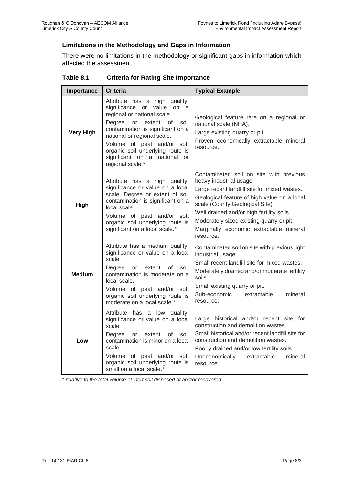# **Limitations in the Methodology and Gaps in Information**

There were no limitations in the methodology or significant gaps in information which affected the assessment.

| Importance       | <b>Criteria</b>                                                                                                                                                                                                                                                                                                              | <b>Typical Example</b>                                                                                                                                                                                                                                                                                                                                |  |  |
|------------------|------------------------------------------------------------------------------------------------------------------------------------------------------------------------------------------------------------------------------------------------------------------------------------------------------------------------------|-------------------------------------------------------------------------------------------------------------------------------------------------------------------------------------------------------------------------------------------------------------------------------------------------------------------------------------------------------|--|--|
| <b>Very High</b> | Attribute has a high quality,<br>significance or value on a<br>regional or national scale.<br>Degree<br>or<br>extent<br>οf<br>soil<br>contamination is significant on a<br>national or regional scale.<br>Volume of peat and/or soft<br>organic soil underlying route is<br>significant on a national or<br>regional scale.* | Geological feature rare on a regional or<br>national scale (NHA).<br>Large existing quarry or pit.<br>Proven economically extractable mineral<br>resource.                                                                                                                                                                                            |  |  |
| High             | Attribute has a high quality,<br>significance or value on a local<br>scale. Degree or extent of soil<br>contamination is significant on a<br>local scale.<br>Volume of peat and/or soft<br>organic soil underlying route is<br>significant on a local scale.*                                                                | Contaminated soil on site with previous<br>heavy industrial usage.<br>Large recent landfill site for mixed wastes.<br>Geological feature of high value on a local<br>scale (County Geological Site).<br>Well drained and/or high fertility soils.<br>Moderately sized existing quarry or pit.<br>Marginally economic extractable mineral<br>resource. |  |  |
| <b>Medium</b>    | Attribute has a medium quality,<br>significance or value on a local<br>scale.<br>Degree<br>extent<br>soil<br>or<br>οf<br>contamination is moderate on a<br>local scale.<br>Volume of peat and/or soft<br>organic soil underlying route is<br>moderate on a local scale.*                                                     | Contaminated soil on site with previous light<br>industrial usage.<br>Small recent landfill site for mixed wastes.<br>Moderately drained and/or moderate fertility<br>soils.<br>Small existing quarry or pit.<br>Sub-economic<br>extractable<br>mineral<br>resource.                                                                                  |  |  |
| Low              | Attribute has a low quality,<br>significance or value on a local<br>scale.<br>Degree<br>extent<br>οf<br>soil<br>or<br>contamination is minor on a local<br>scale.<br>Volume of peat and/or soft<br>organic soil underlying route is<br>small on a local scale.*                                                              | Large historical and/or recent site for<br>construction and demolition wastes.<br>Small historical and/or recent landfill site for<br>construction and demolition wastes.<br>Poorly drained and/or low fertility soils.<br>Uneconomically<br>extractable<br>mineral<br>resource.                                                                      |  |  |

## <span id="page-3-0"></span>**Table 8.1 Criteria for Rating Site Importance**

*\* relative to the total volume of inert soil disposed of and/or recovered*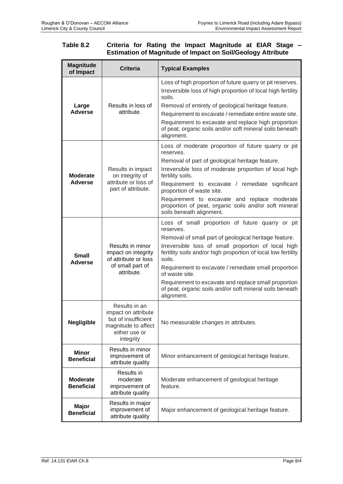#### <span id="page-4-0"></span>**Table 8.2 Criteria for Rating the Impact Magnitude at EIAR Stage – Estimation of Magnitude of Impact on Soil/Geology Attribute**

| <b>Magnitude</b><br>of Impact        | <b>Criteria</b>                                                                                                  | <b>Typical Examples</b>                                                                                                                                                                                                                                                                                                                                                                                                                                              |  |
|--------------------------------------|------------------------------------------------------------------------------------------------------------------|----------------------------------------------------------------------------------------------------------------------------------------------------------------------------------------------------------------------------------------------------------------------------------------------------------------------------------------------------------------------------------------------------------------------------------------------------------------------|--|
| Large<br><b>Adverse</b>              | Results in loss of<br>attribute.                                                                                 | Loss of high proportion of future quarry or pit reserves.<br>Irreversible loss of high proportion of local high fertility<br>soils.<br>Removal of entirety of geological heritage feature.<br>Requirement to excavate / remediate entire waste site.<br>Requirement to excavate and replace high proportion<br>of peat, organic soils and/or soft mineral soils beneath<br>alignment.                                                                                |  |
| <b>Moderate</b><br><b>Adverse</b>    | Results in impact<br>on integrity of<br>attribute or loss of<br>part of attribute.                               | Loss of moderate proportion of future quarry or pit<br>reserves.<br>Removal of part of geological heritage feature.<br>Irreversible loss of moderate proportion of local high<br>fertility soils.<br>Requirement to excavate / remediate significant<br>proportion of waste site.<br>Requirement to excavate and replace moderate<br>proportion of peat, organic soils and/or soft mineral<br>soils beneath alignment.                                               |  |
| Small<br><b>Adverse</b>              | Results in minor<br>impact on integrity<br>of attribute or loss<br>of small part of<br>attribute.                | Loss of small proportion of future quarry or pit<br>reserves.<br>Removal of small part of geological heritage feature.<br>Irreversible loss of small proportion of local high<br>fertility soils and/or high proportion of local low fertility<br>soils.<br>Requirement to excavate / remediate small proportion<br>of waste site.<br>Requirement to excavate and replace small proportion<br>of peat, organic soils and/or soft mineral soils beneath<br>alignment. |  |
| <b>Negligible</b>                    | Results in an<br>impact on attribute<br>but of insufficient<br>magnitude to affect<br>either use or<br>integrity | No measurable changes in attributes.                                                                                                                                                                                                                                                                                                                                                                                                                                 |  |
| <b>Minor</b><br><b>Beneficial</b>    | Results in minor<br>improvement of<br>attribute quality                                                          | Minor enhancement of geological heritage feature.                                                                                                                                                                                                                                                                                                                                                                                                                    |  |
| <b>Moderate</b><br><b>Beneficial</b> | Results in<br>moderate<br>improvement of<br>attribute quality                                                    | Moderate enhancement of geological heritage<br>feature.                                                                                                                                                                                                                                                                                                                                                                                                              |  |
| <b>Major</b><br><b>Beneficial</b>    | Results in major<br>improvement of<br>attribute quality                                                          | Major enhancement of geological heritage feature.                                                                                                                                                                                                                                                                                                                                                                                                                    |  |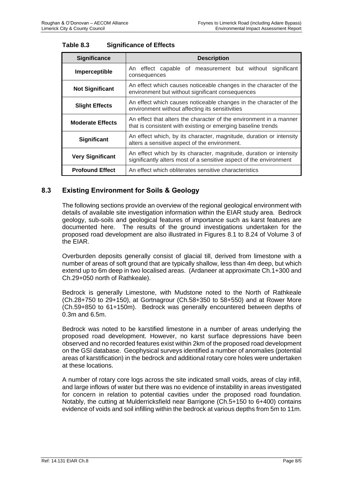| <b>Significance</b>                                                                                                                                                 | <b>Description</b>                                                                                                                 |  |  |  |  |  |
|---------------------------------------------------------------------------------------------------------------------------------------------------------------------|------------------------------------------------------------------------------------------------------------------------------------|--|--|--|--|--|
| Imperceptible                                                                                                                                                       | An effect capable of measurement but without significant<br>consequences                                                           |  |  |  |  |  |
| <b>Not Significant</b>                                                                                                                                              | An effect which causes noticeable changes in the character of the<br>environment but without significant consequences              |  |  |  |  |  |
| An effect which causes noticeable changes in the character of the<br><b>Slight Effects</b><br>environment without affecting its sensitivities                       |                                                                                                                                    |  |  |  |  |  |
| <b>Moderate Effects</b>                                                                                                                                             | An effect that alters the character of the environment in a manner<br>that is consistent with existing or emerging baseline trends |  |  |  |  |  |
| An effect which, by its character, magnitude, duration or intensity<br><b>Significant</b><br>alters a sensitive aspect of the environment.                          |                                                                                                                                    |  |  |  |  |  |
| An effect which by its character, magnitude, duration or intensity<br><b>Very Significant</b><br>significantly alters most of a sensitive aspect of the environment |                                                                                                                                    |  |  |  |  |  |
| <b>Profound Effect</b><br>An effect which obliterates sensitive characteristics                                                                                     |                                                                                                                                    |  |  |  |  |  |

# <span id="page-5-0"></span>**Table 8.3 Significance of Effects**

# **8.3 Existing Environment for Soils & Geology**

The following sections provide an overview of the regional geological environment with details of available site investigation information within the EIAR study area. Bedrock geology, sub-soils and geological features of importance such as karst features are documented here. The results of the ground investigations undertaken for the proposed road development are also illustrated in Figures 8.1 to 8.24 of Volume 3 of the EIAR.

Overburden deposits generally consist of glacial till, derived from limestone with a number of areas of soft ground that are typically shallow, less than 4m deep, but which extend up to 6m deep in two localised areas. (Ardaneer at approximate Ch.1+300 and Ch.29+050 north of Rathkeale).

Bedrock is generally Limestone, with Mudstone noted to the North of Rathkeale (Ch.28+750 to 29+150), at Gortnagrour (Ch.58+350 to 58+550) and at Rower More (Ch.59+850 to 61+150m). Bedrock was generally encountered between depths of 0.3m and 6.5m.

Bedrock was noted to be karstified limestone in a number of areas underlying the proposed road development. However, no karst surface depressions have been observed and no recorded features exist within 2km of the proposed road development on the GSI database. Geophysical surveys identified a number of anomalies (potential areas of karstification) in the bedrock and additional rotary core holes were undertaken at these locations.

A number of rotary core logs across the site indicated small voids, areas of clay infill, and large inflows of water but there was no evidence of instability in areas investigated for concern in relation to potential cavities under the proposed road foundation. Notably, the cutting at Mulderricksfield near Barrigone (Ch.5+150 to 6+400) contains evidence of voids and soil infilling within the bedrock at various depths from 5m to 11m.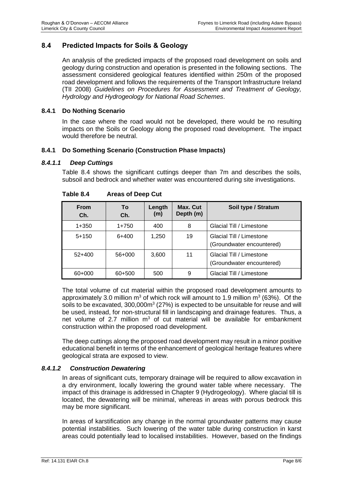# **8.4 Predicted Impacts for Soils & Geology**

An analysis of the predicted impacts of the proposed road development on soils and geology during construction and operation is presented in the following sections. The assessment considered geological features identified within 250m of the proposed road development and follows the requirements of the Transport Infrastructure Ireland (TII 2008) *Guidelines on Procedures for Assessment and Treatment of Geology, Hydrology and Hydrogeology for National Road Schemes*.

#### **8.4.1 Do Nothing Scenario**

In the case where the road would not be developed, there would be no resulting impacts on the Soils or Geology along the proposed road development. The impact would therefore be neutral.

#### **8.4.1 Do Something Scenario (Construction Phase Impacts)**

#### *8.4.1.1 Deep Cuttings*

[Table 8.4](#page-6-0) shows the significant cuttings deeper than 7m and describes the soils, subsoil and bedrock and whether water was encountered during site investigations.

<span id="page-6-0"></span>

| <b>From</b><br>Ch. | To<br>Ch. | Length<br>(m) | Max. Cut<br>Depth (m) | Soil type / Stratum                                   |
|--------------------|-----------|---------------|-----------------------|-------------------------------------------------------|
| $1 + 350$          | $1+750$   | 400           | 8                     | Glacial Till / Limestone                              |
| $5+150$            | $6+400$   | 1.250         | 19                    | Glacial Till / Limestone<br>(Groundwater encountered) |
| $52+400$           | 56+000    | 3,600         | 11                    | Glacial Till / Limestone<br>(Groundwater encountered) |
| 60+000             | 60+500    | 500           | 9                     | Glacial Till / Limestone                              |

| <b>Areas of Deep Cut</b><br>Table 8.4 |
|---------------------------------------|
|---------------------------------------|

The total volume of cut material within the proposed road development amounts to approximately 3.0 million  $m^3$  of which rock will amount to 1.9 million  $m^3$  (63%). Of the soils to be excavated,  $300,000m^3$  (27%) is expected to be unsuitable for reuse and will be used, instead, for non-structural fill in landscaping and drainage features. Thus, a net volume of 2.7 million  $m<sup>3</sup>$  of cut material will be available for embankment construction within the proposed road development.

The deep cuttings along the proposed road development may result in a minor positive educational benefit in terms of the enhancement of geological heritage features where geological strata are exposed to view.

#### *8.4.1.2 Construction Dewatering*

In areas of significant cuts, temporary drainage will be required to allow excavation in a dry environment, locally lowering the ground water table where necessary. The impact of this drainage is addressed in Chapter 9 (Hydrogeology). Where glacial till is located, the dewatering will be minimal, whereas in areas with porous bedrock this may be more significant.

In areas of karstification any change in the normal groundwater patterns may cause potential instabilities. Such lowering of the water table during construction in karst areas could potentially lead to localised instabilities. However, based on the findings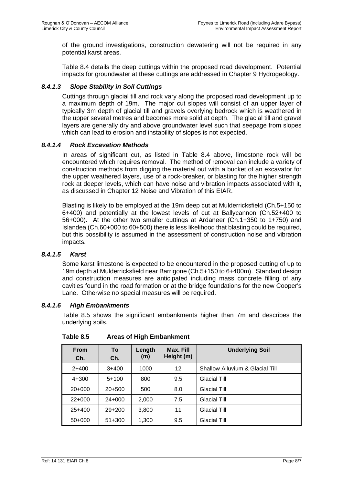of the ground investigations, construction dewatering will not be required in any potential karst areas.

[Table 8.4](#page-6-0) details the deep cuttings within the proposed road development. Potential impacts for groundwater at these cuttings are addressed in Chapter 9 Hydrogeology.

# *8.4.1.3 Slope Stability in Soil Cuttings*

Cuttings through glacial till and rock vary along the proposed road development up to a maximum depth of 19m. The major cut slopes will consist of an upper layer of typically 3m depth of glacial till and gravels overlying bedrock which is weathered in the upper several metres and becomes more solid at depth. The glacial till and gravel layers are generally dry and above groundwater level such that seepage from slopes which can lead to erosion and instability of slopes is not expected.

## *8.4.1.4 Rock Excavation Methods*

In areas of significant cut, as listed in [Table 8.4](#page-6-0) above, limestone rock will be encountered which requires removal. The method of removal can include a variety of construction methods from digging the material out with a bucket of an excavator for the upper weathered layers, use of a rock-breaker, or blasting for the higher strength rock at deeper levels, which can have noise and vibration impacts associated with it, as discussed in Chapter 12 Noise and Vibration of this EIAR.

Blasting is likely to be employed at the 19m deep cut at Mulderricksfield (Ch.5+150 to 6+400) and potentially at the lowest levels of cut at Ballycannon (Ch.52+400 to 56+000). At the other two smaller cuttings at Ardaneer (Ch.1+350 to 1+750) and Islandea (Ch.60+000 to 60+500) there is less likelihood that blasting could be required, but this possibility is assumed in the assessment of construction noise and vibration impacts.

#### *8.4.1.5 Karst*

Some karst limestone is expected to be encountered in the proposed cutting of up to 19m depth at Mulderricksfield near Barrigone (Ch.5+150 to 6+400m). Standard design and construction measures are anticipated including mass concrete filling of any cavities found in the road formation or at the bridge foundations for the new Cooper's Lane. Otherwise no special measures will be required.

#### *8.4.1.6 High Embankments*

[Table 8.5](#page-7-0) shows the significant embankments higher than 7m and describes the underlying soils.

| <b>From</b><br>Ch. | To<br>Ch.  | Length<br>(m) | Max. Fill<br>Height (m) | <b>Underlying Soil</b>          |
|--------------------|------------|---------------|-------------------------|---------------------------------|
| $2+400$            | $3+400$    | 1000          | 12                      | Shallow Alluvium & Glacial Till |
| $4 + 300$          | $5+100$    | 800           | 9.5                     | <b>Glacial Till</b>             |
| $20+000$           | $20+500$   | 500           | 8.0                     | <b>Glacial Till</b>             |
| $22+000$           | $24+000$   | 2.000         | 7.5                     | <b>Glacial Till</b>             |
| $25+400$           | $29+200$   | 3,800         | 11                      | <b>Glacial Till</b>             |
| $50+000$           | $51 + 300$ | 1,300         | 9.5                     | <b>Glacial Till</b>             |

<span id="page-7-0"></span>**Table 8.5 Areas of High Embankment**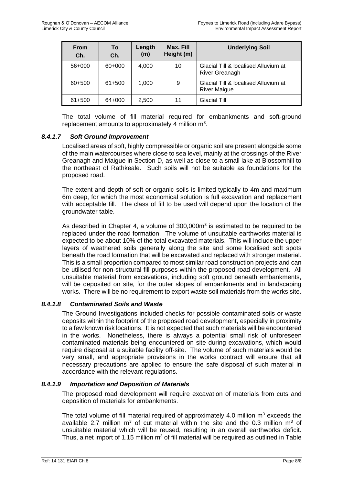| <b>From</b><br>Ch. | To<br>Ch. | Length<br>(m) | Max. Fill<br>Height (m) | <b>Underlying Soil</b>                                      |
|--------------------|-----------|---------------|-------------------------|-------------------------------------------------------------|
| 56+000             | 60+000    | 4,000         | 10                      | Glacial Till & localised Alluvium at<br>River Greanagh      |
| 60+500             | 61+500    | 1.000         | 9                       | Glacial Till & localised Alluvium at<br><b>River Maigue</b> |
| 61+500             | 64+000    | 2,500         | 11                      | <b>Glacial Till</b>                                         |

The total volume of fill material required for embankments and soft-ground replacement amounts to approximately 4 million  $m^3$ .

#### *8.4.1.7 Soft Ground Improvement*

Localised areas of soft, highly compressible or organic soil are present alongside some of the main watercourses where close to sea level, mainly at the crossings of the River Greanagh and Maigue in Section D, as well as close to a small lake at Blossomhill to the northeast of Rathkeale. Such soils will not be suitable as foundations for the proposed road.

The extent and depth of soft or organic soils is limited typically to 4m and maximum 6m deep, for which the most economical solution is full excavation and replacement with acceptable fill. The class of fill to be used will depend upon the location of the groundwater table.

As described in Chapter 4, a volume of  $300,000m<sup>3</sup>$  is estimated to be required to be replaced under the road formation. The volume of unsuitable earthworks material is expected to be about 10% of the total excavated materials. This will include the upper layers of weathered soils generally along the site and some localised soft spots beneath the road formation that will be excavated and replaced with stronger material. This is a small proportion compared to most similar road construction projects and can be utilised for non-structural fill purposes within the proposed road development. All unsuitable material from excavations, including soft ground beneath embankments, will be deposited on site, for the outer slopes of embankments and in landscaping works. There will be no requirement to export waste soil materials from the works site.

#### *8.4.1.8 Contaminated Soils and Waste*

The Ground Investigations included checks for possible contaminated soils or waste deposits within the footprint of the proposed road development, especially in proximity to a few known risk locations. It is not expected that such materials will be encountered in the works. Nonetheless, there is always a potential small risk of unforeseen contaminated materials being encountered on site during excavations, which would require disposal at a suitable facility off-site. The volume of such materials would be very small, and appropriate provisions in the works contract will ensure that all necessary precautions are applied to ensure the safe disposal of such material in accordance with the relevant regulations.

#### *8.4.1.9 Importation and Deposition of Materials*

The proposed road development will require excavation of materials from cuts and deposition of materials for embankments.

The total volume of fill material required of approximately 4.0 million  $m<sup>3</sup>$  exceeds the available 2.7 million  $m^3$  of cut material within the site and the 0.3 million  $m^3$  of unsuitable material which will be reused, resulting in an overall earthworks deficit. Thus, a net import of 1.15 million  $m<sup>3</sup>$  of fill material will be required as outlined in Table